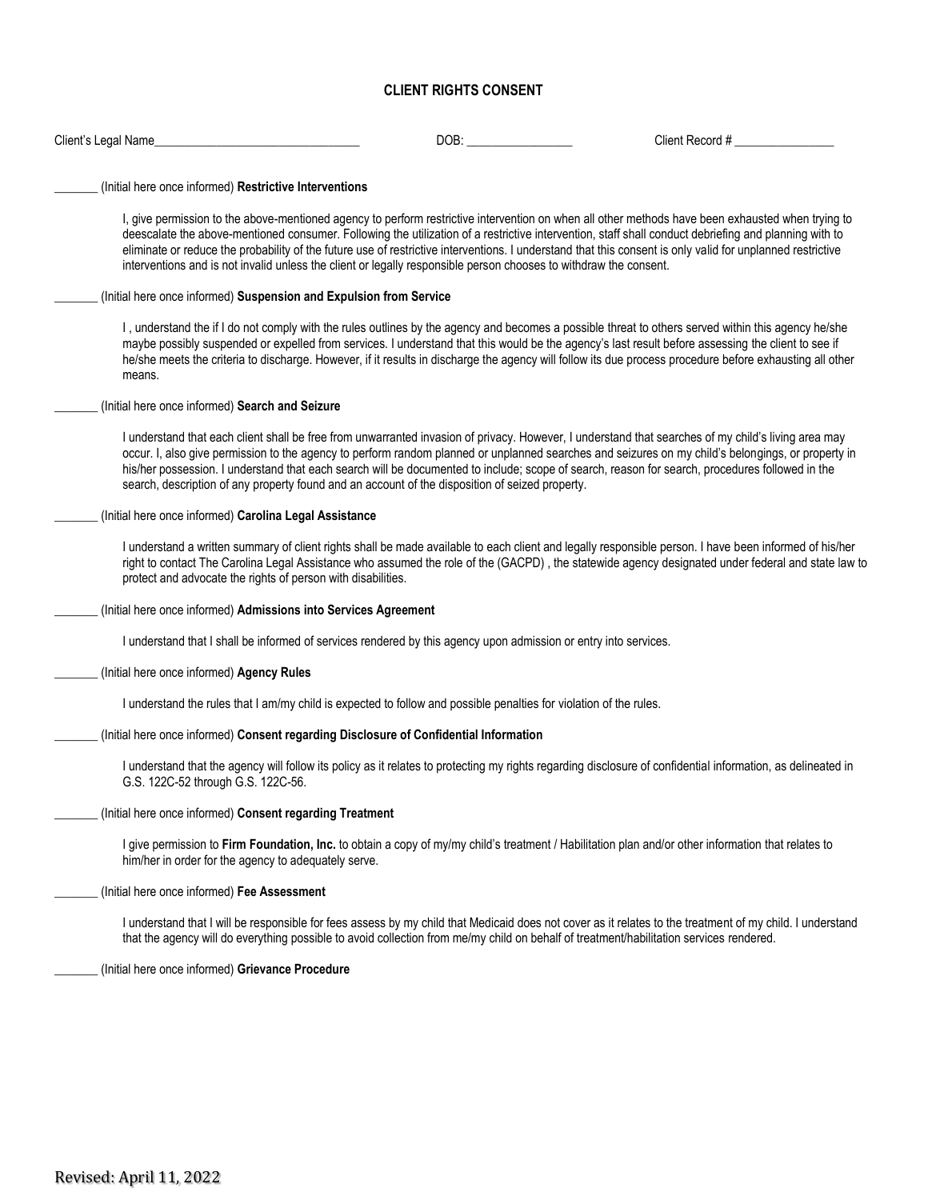#### **CLIENT RIGHTS CONSENT**

| Client's Legal Name_                                                                                                                    | DOB: | Client Record #                                                                                                                                                                                                                                                                                                                                                                                                                                                          |
|-----------------------------------------------------------------------------------------------------------------------------------------|------|--------------------------------------------------------------------------------------------------------------------------------------------------------------------------------------------------------------------------------------------------------------------------------------------------------------------------------------------------------------------------------------------------------------------------------------------------------------------------|
| (Initial here once informed) Restrictive Interventions                                                                                  |      |                                                                                                                                                                                                                                                                                                                                                                                                                                                                          |
| interventions and is not invalid unless the client or legally responsible person chooses to withdraw the consent.                       |      | I, give permission to the above-mentioned agency to perform restrictive intervention on when all other methods have been exhausted when trying to<br>deescalate the above-mentioned consumer. Following the utilization of a restrictive intervention, staff shall conduct debriefing and planning with to<br>eliminate or reduce the probability of the future use of restrictive interventions. I understand that this consent is only valid for unplanned restrictive |
| (Initial here once informed) Suspension and Expulsion from Service                                                                      |      |                                                                                                                                                                                                                                                                                                                                                                                                                                                                          |
| means.                                                                                                                                  |      | I, understand the if I do not comply with the rules outlines by the agency and becomes a possible threat to others served within this agency he/she<br>maybe possibly suspended or expelled from services. I understand that this would be the agency's last result before assessing the client to see if<br>he/she meets the criteria to discharge. However, if it results in discharge the agency will follow its due process procedure before exhausting all other    |
| (Initial here once informed) Search and Seizure                                                                                         |      |                                                                                                                                                                                                                                                                                                                                                                                                                                                                          |
| search, description of any property found and an account of the disposition of seized property.                                         |      | I understand that each client shall be free from unwarranted invasion of privacy. However, I understand that searches of my child's living area may<br>occur. I, also give permission to the agency to perform random planned or unplanned searches and seizures on my child's belongings, or property in<br>his/her possession. I understand that each search will be documented to include; scope of search, reason for search, procedures followed in the             |
| (Initial here once informed) Carolina Legal Assistance                                                                                  |      |                                                                                                                                                                                                                                                                                                                                                                                                                                                                          |
| protect and advocate the rights of person with disabilities.                                                                            |      | I understand a written summary of client rights shall be made available to each client and legally responsible person. I have been informed of his/her<br>right to contact The Carolina Legal Assistance who assumed the role of the (GACPD), the statewide agency designated under federal and state law to                                                                                                                                                             |
| (Initial here once informed) Admissions into Services Agreement                                                                         |      |                                                                                                                                                                                                                                                                                                                                                                                                                                                                          |
| I understand that I shall be informed of services rendered by this agency upon admission or entry into services.                        |      |                                                                                                                                                                                                                                                                                                                                                                                                                                                                          |
| (Initial here once informed) Agency Rules                                                                                               |      |                                                                                                                                                                                                                                                                                                                                                                                                                                                                          |
| I understand the rules that I am/my child is expected to follow and possible penalties for violation of the rules.                      |      |                                                                                                                                                                                                                                                                                                                                                                                                                                                                          |
| (Initial here once informed) Consent regarding Disclosure of Confidential Information                                                   |      |                                                                                                                                                                                                                                                                                                                                                                                                                                                                          |
| G.S. 122C-52 through G.S. 122C-56.                                                                                                      |      | I understand that the agency will follow its policy as it relates to protecting my rights regarding disclosure of confidential information, as delineated in                                                                                                                                                                                                                                                                                                             |
| (Initial here once informed) Consent regarding Treatment                                                                                |      |                                                                                                                                                                                                                                                                                                                                                                                                                                                                          |
| him/her in order for the agency to adequately serve.                                                                                    |      | I give permission to Firm Foundation, Inc. to obtain a copy of my/my child's treatment / Habilitation plan and/or other information that relates to                                                                                                                                                                                                                                                                                                                      |
| (Initial here once informed) Fee Assessment                                                                                             |      |                                                                                                                                                                                                                                                                                                                                                                                                                                                                          |
| that the agency will do everything possible to avoid collection from me/my child on behalf of treatment/habilitation services rendered. |      | I understand that I will be responsible for fees assess by my child that Medicaid does not cover as it relates to the treatment of my child. I understand                                                                                                                                                                                                                                                                                                                |
| (Initial here once informed) Grievance Procedure                                                                                        |      |                                                                                                                                                                                                                                                                                                                                                                                                                                                                          |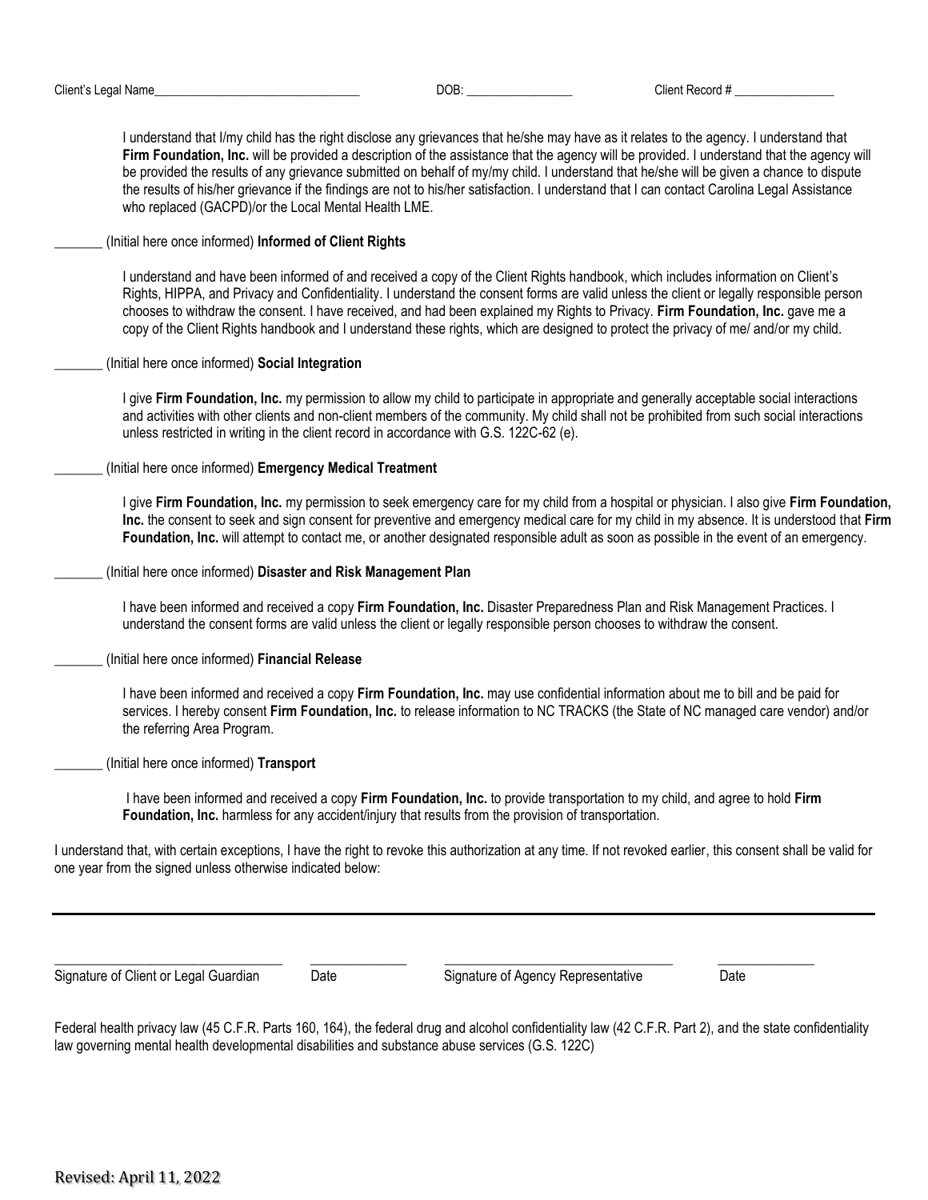I understand that I/my child has the right disclose any grievances that he/she may have as it relates to the agency. I understand that **Firm Foundation, Inc.** will be provided a description of the assistance that the agency will be provided. I understand that the agency will be provided the results of any grievance submitted on behalf of my/my child. I understand that he/she will be given a chance to dispute the results of his/her grievance if the findings are not to his/her satisfaction. I understand that I can contact Carolina Legal Assistance who replaced (GACPD)/or the Local Mental Health LME.

\_\_\_\_\_\_\_ (Initial here once informed) **Informed of Client Rights**

I understand and have been informed of and received a copy of the Client Rights handbook, which includes information on Client's Rights, HIPPA, and Privacy and Confidentiality. I understand the consent forms are valid unless the client or legally responsible person chooses to withdraw the consent. I have received, and had been explained my Rights to Privacy. **Firm Foundation, Inc.** gave me a copy of the Client Rights handbook and I understand these rights, which are designed to protect the privacy of me/ and/or my child.

\_\_\_\_\_\_\_ (Initial here once informed) **Social Integration**

I give **Firm Foundation, Inc.** my permission to allow my child to participate in appropriate and generally acceptable social interactions and activities with other clients and non-client members of the community. My child shall not be prohibited from such social interactions unless restricted in writing in the client record in accordance with G.S. 122C-62 (e).

\_\_\_\_\_\_\_ (Initial here once informed) **Emergency Medical Treatment**

I give **Firm Foundation, Inc.** my permission to seek emergency care for my child from a hospital or physician. I also give **Firm Foundation, Inc.** the consent to seek and sign consent for preventive and emergency medical care for my child in my absence. It is understood that **Firm Foundation, Inc.** will attempt to contact me, or another designated responsible adult as soon as possible in the event of an emergency.

\_\_\_\_\_\_\_ (Initial here once informed) **Disaster and Risk Management Plan**

I have been informed and received a copy **Firm Foundation, Inc.** Disaster Preparedness Plan and Risk Management Practices. I understand the consent forms are valid unless the client or legally responsible person chooses to withdraw the consent.

\_\_\_\_\_\_\_ (Initial here once informed) **Financial Release**

I have been informed and received a copy **Firm Foundation, Inc.** may use confidential information about me to bill and be paid for services. I hereby consent **Firm Foundation, Inc.** to release information to NC TRACKS (the State of NC managed care vendor) and/or the referring Area Program.

\_\_\_\_\_\_\_ (Initial here once informed) **Transport**

I have been informed and received a copy **Firm Foundation, Inc.** to provide transportation to my child, and agree to hold **Firm Foundation, Inc.** harmless for any accident/injury that results from the provision of transportation.

I understand that, with certain exceptions, I have the right to revoke this authorization at any time. If not revoked earlier, this consent shall be valid for one year from the signed unless otherwise indicated below:

Signature of Client or Legal Guardian Date Signature of Agency Representative Date

Federal health privacy law (45 C.F.R. Parts 160, 164), the federal drug and alcohol confidentiality law (42 C.F.R. Part 2), and the state confidentiality law governing mental health developmental disabilities and substance abuse services (G.S. 122C)

\_\_\_\_\_\_\_\_\_\_\_\_\_\_\_\_\_\_\_\_\_\_\_\_\_\_\_\_\_\_\_\_\_ \_\_\_\_\_\_\_\_\_\_\_\_\_\_ \_\_\_\_\_\_\_\_\_\_\_\_\_\_\_\_\_\_\_\_\_\_\_\_\_\_\_\_\_\_\_\_\_ \_\_\_\_\_\_\_\_\_\_\_\_\_\_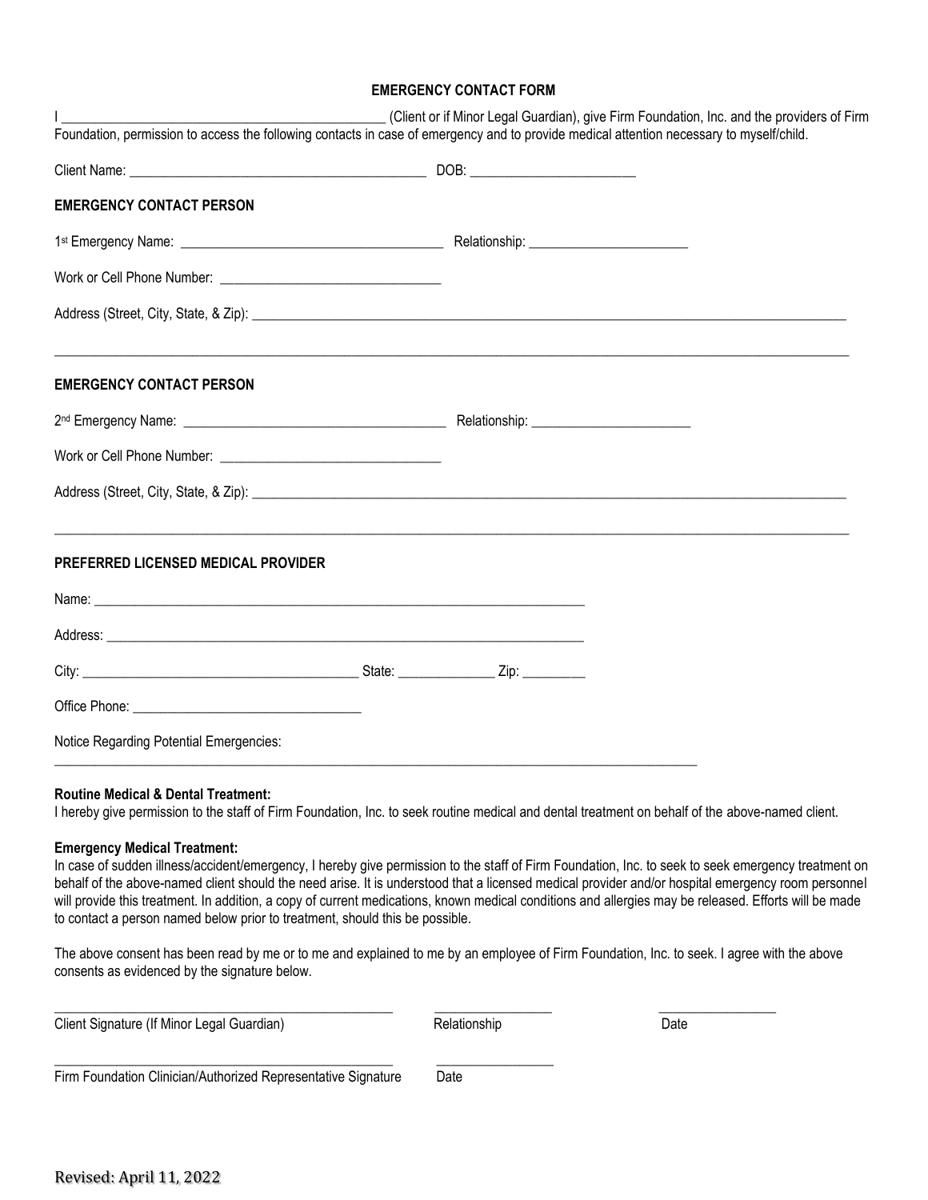#### **EMERGENCY CONTACT FORM**

| <b>EMERGENCY CONTACT PERSON</b>         |  |  |
|-----------------------------------------|--|--|
|                                         |  |  |
|                                         |  |  |
|                                         |  |  |
| <b>EMERGENCY CONTACT PERSON</b>         |  |  |
|                                         |  |  |
|                                         |  |  |
|                                         |  |  |
| PREFERRED LICENSED MEDICAL PROVIDER     |  |  |
|                                         |  |  |
|                                         |  |  |
|                                         |  |  |
|                                         |  |  |
| Notice Regarding Potential Emergencies: |  |  |

I hereby give permission to the staff of Firm Foundation, Inc. to seek routine medical and dental treatment on behalf of the above-named client.

#### **Emergency Medical Treatment:**

In case of sudden illness/accident/emergency, I hereby give permission to the staff of Firm Foundation, Inc. to seek to seek emergency treatment on behalf of the above-named client should the need arise. It is understood that a licensed medical provider and/or hospital emergency room personnel will provide this treatment. In addition, a copy of current medications, known medical conditions and allergies may be released. Efforts will be made to contact a person named below prior to treatment, should this be possible.

The above consent has been read by me or to me and explained to me by an employee of Firm Foundation, Inc. to seek. I agree with the above consents as evidenced by the signature below.

\_\_\_\_\_\_\_\_\_\_\_\_\_\_\_\_\_\_\_\_\_\_\_\_\_\_\_\_\_\_\_\_\_\_\_\_\_\_\_\_\_\_\_\_\_\_\_\_\_ \_\_\_\_\_\_\_\_\_\_\_\_\_\_\_\_\_ \_\_\_\_\_\_\_\_\_\_\_\_\_\_\_\_\_

| Client Signature (If Minor Legal Guardian) |  |  |
|--------------------------------------------|--|--|
|                                            |  |  |

Relationship **Date** 

Firm Foundation Clinician/Authorized Representative Signature Date

\_\_\_\_\_\_\_\_\_\_\_\_\_\_\_\_\_\_\_\_\_\_\_\_\_\_\_\_\_\_\_\_\_\_\_\_\_\_\_\_\_\_\_\_\_\_\_\_\_ \_\_\_\_\_\_\_\_\_\_\_\_\_\_\_\_\_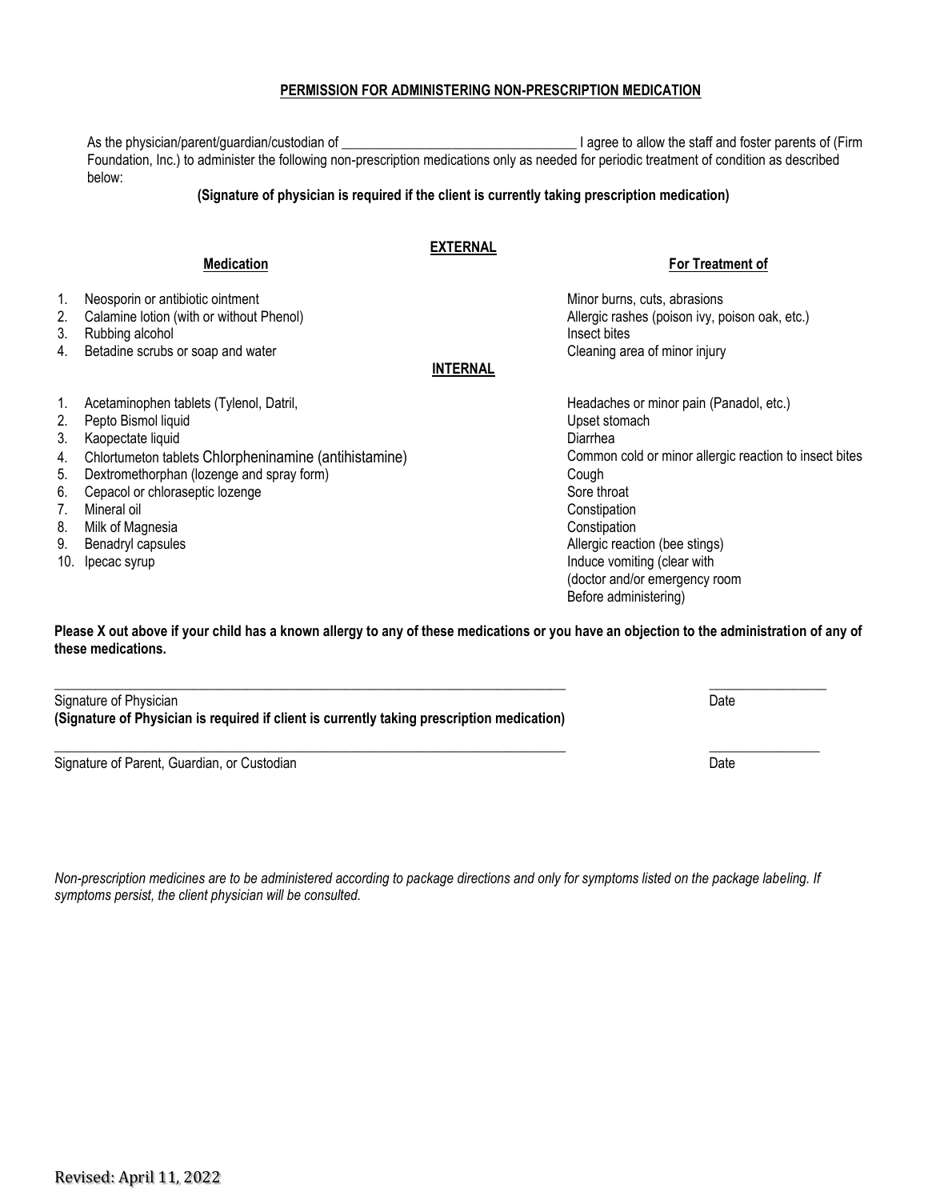#### **PERMISSION FOR ADMINISTERING NON-PRESCRIPTION MEDICATION**

As the physician/parent/guardian/custodian of \_\_\_\_\_\_\_\_\_\_\_\_\_\_\_\_\_\_\_\_\_\_\_\_\_\_\_\_\_\_\_\_\_\_ I agree to allow the staff and foster parents of (Firm Foundation, Inc.) to administer the following non-prescription medications only as needed for periodic treatment of condition as described below:

#### **(Signature of physician is required if the client is currently taking prescription medication)**

### **EXTERNAL**

**Medication For Treatment of**

1. Neosporin or antibiotic ointment Minor burns, cuts, abrasions Minor burns, cuts, abrasions 2. Calamine lotion (with or without Phenol) **Allergic rashes (poison ivy, poison oak, etc.)** 3. Rubbing alcohol **Insect bites** and the second insect bites and the second insect bites and the second insect bites and the second insect bites and the second insect bites and the second insect bites and the second insec 4. Betadine scrubs or soap and water Cleaning area of minor injury

#### **INTERNAL**

- 1. Acetaminophen tablets (Tylenol, Datril, Headaches or minor pain (Panadol, etc.)
- 2. Pepto Bismol liquid and the store of the store of the Upset stomach in the Upset stomach
- 3. Kaopectate liquid Diarrhea
- 4. Chlortumeton tablets Chlorpheninamine (antihistamine) Common cold or minor allergic reaction to insect bites
- 5. Dextromethorphan (lozenge and spray form) Cough
- 6. Cepacol or chloraseptic lozenge Sore throat Sore throat Sore throat Sore throat
- 7. Mineral oil Constipation
- 8. Milk of Magnesia **Constitution** Constitution Constitution Constitution Constitution
- 
- 

9. Benadryl capsules **Allergic reaction (bee stings)** Benadryl capsules Allergic reaction (bee stings) 10. Ipecac syrup Induce vomiting (clear with  $\sim$  10. Ipecac syrup Induce vomiting (clear with  $\sim$  10. (doctor and/or emergency room Before administering)

**Please X out above if your child has a known allergy to any of these medications or you have an objection to the administration of any of these medications.** 

**\_\_\_\_\_\_\_\_\_\_\_\_\_\_\_\_\_\_\_\_\_\_\_\_\_\_\_\_\_\_\_\_\_\_\_\_\_\_\_\_\_\_\_\_\_\_\_\_\_\_\_\_\_\_\_\_\_\_\_\_\_\_\_\_\_\_\_\_\_\_\_\_\_\_ \_\_\_\_\_\_\_\_\_\_\_\_\_\_\_\_\_** Signature of Physician Date **Date of Contract Contract Contract Contract Contract Contract Contract Contract Contract Contract Contract Contract Contract Contract Contract Contract Contract Contract Contract Contract Contr (Signature of Physician is required if client is currently taking prescription medication)**

**\_\_\_\_\_\_\_\_\_\_\_\_\_\_\_\_\_\_\_\_\_\_\_\_\_\_\_\_\_\_\_\_\_\_\_\_\_\_\_\_\_\_\_\_\_\_\_\_\_\_\_\_\_\_\_\_\_\_\_\_\_\_\_\_\_\_\_\_\_\_\_\_\_\_ \_\_\_\_\_\_\_\_\_\_\_\_\_\_\_\_** Signature of Parent, Guardian, or Custodian Date **Canadian Control of Custom Carena** Date Date Date Date Date Date

*Non-prescription medicines are to be administered according to package directions and only for symptoms listed on the package labeling. If symptoms persist, the client physician will be consulted.*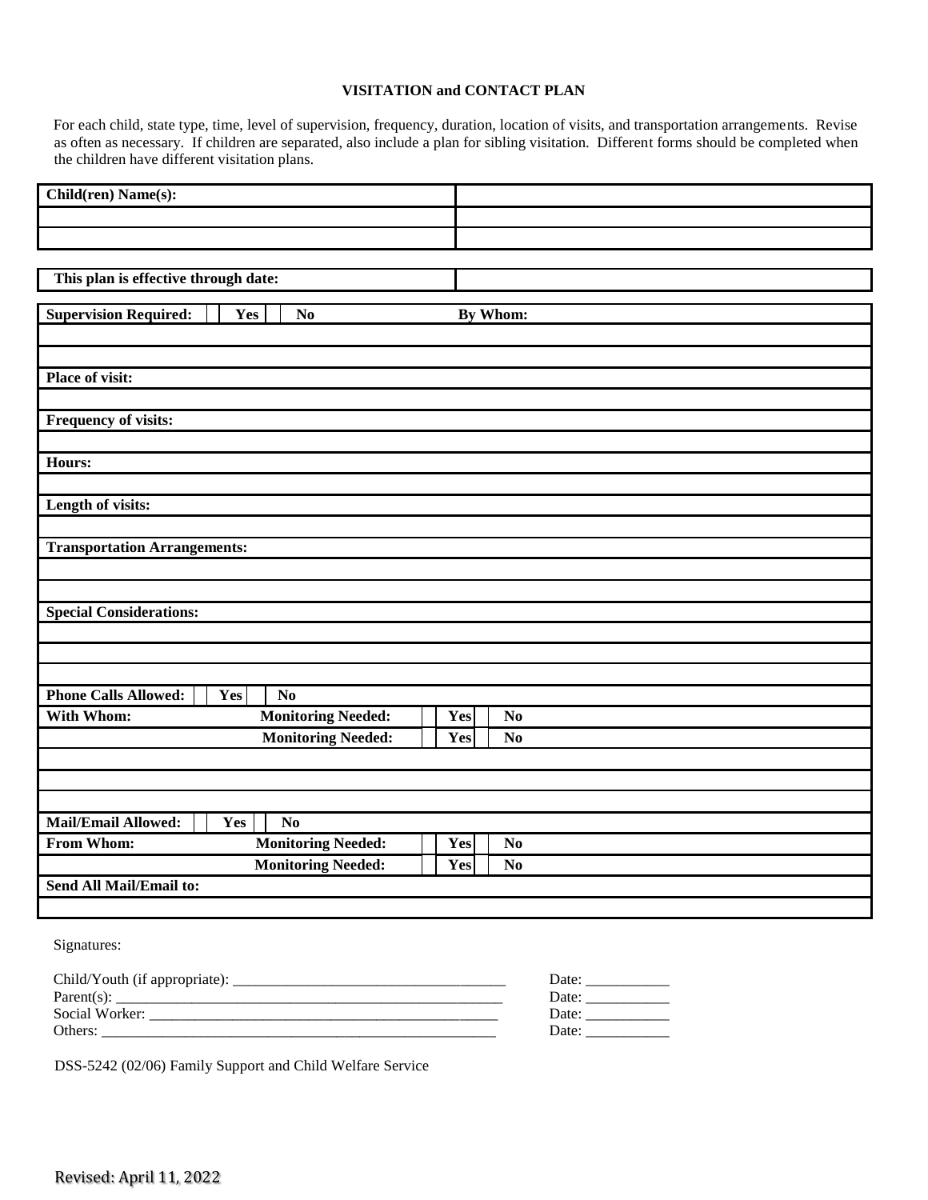#### **VISITATION and CONTACT PLAN**

For each child, state type, time, level of supervision, frequency, duration, location of visits, and transportation arrangements. Revise as often as necessary. If children are separated, also include a plan for sibling visitation. Different forms should be completed when the children have different visitation plans.

| Child(ren) Name(s):                                  |                                                        |
|------------------------------------------------------|--------------------------------------------------------|
|                                                      |                                                        |
|                                                      |                                                        |
|                                                      |                                                        |
| This plan is effective through date:                 |                                                        |
|                                                      |                                                        |
| <b>Supervision Required:</b><br>Yes<br>No            | By Whom:                                               |
|                                                      |                                                        |
|                                                      |                                                        |
| <b>Place of visit:</b>                               |                                                        |
|                                                      |                                                        |
| Frequency of visits:                                 |                                                        |
|                                                      |                                                        |
| Hours:                                               |                                                        |
|                                                      |                                                        |
| Length of visits:                                    |                                                        |
|                                                      |                                                        |
| <b>Transportation Arrangements:</b>                  |                                                        |
|                                                      |                                                        |
|                                                      |                                                        |
| <b>Special Considerations:</b>                       |                                                        |
|                                                      |                                                        |
|                                                      |                                                        |
|                                                      |                                                        |
| <b>Phone Calls Allowed:</b><br>Yes<br>N <sub>0</sub> |                                                        |
| <b>Monitoring Needed:</b><br>With Whom:              | Yes<br>N <sub>o</sub>                                  |
|                                                      |                                                        |
| <b>Monitoring Needed:</b>                            | Yes<br>N <sub>o</sub>                                  |
|                                                      |                                                        |
|                                                      |                                                        |
|                                                      |                                                        |
| <b>Mail/Email Allowed:</b><br>N <sub>0</sub><br>Yes  |                                                        |
| From Whom:<br><b>Monitoring Needed:</b>              | Yes<br>N <sub>0</sub>                                  |
| <b>Monitoring Needed:</b>                            | Yes<br>N <sub>0</sub>                                  |
| <b>Send All Mail/Email to:</b>                       |                                                        |
|                                                      |                                                        |
|                                                      |                                                        |
| Signatures:                                          |                                                        |
|                                                      |                                                        |
| Parent(s): $\_\_$                                    | Date: $\frac{1}{\sqrt{1-\frac{1}{2}}\cdot\frac{1}{2}}$ |
|                                                      | Date: $\frac{1}{\sqrt{1-\frac{1}{2}}\cdot\frac{1}{2}}$ |
| Others:                                              | Date:                                                  |

DSS-5242 (02/06) Family Support and Child Welfare Service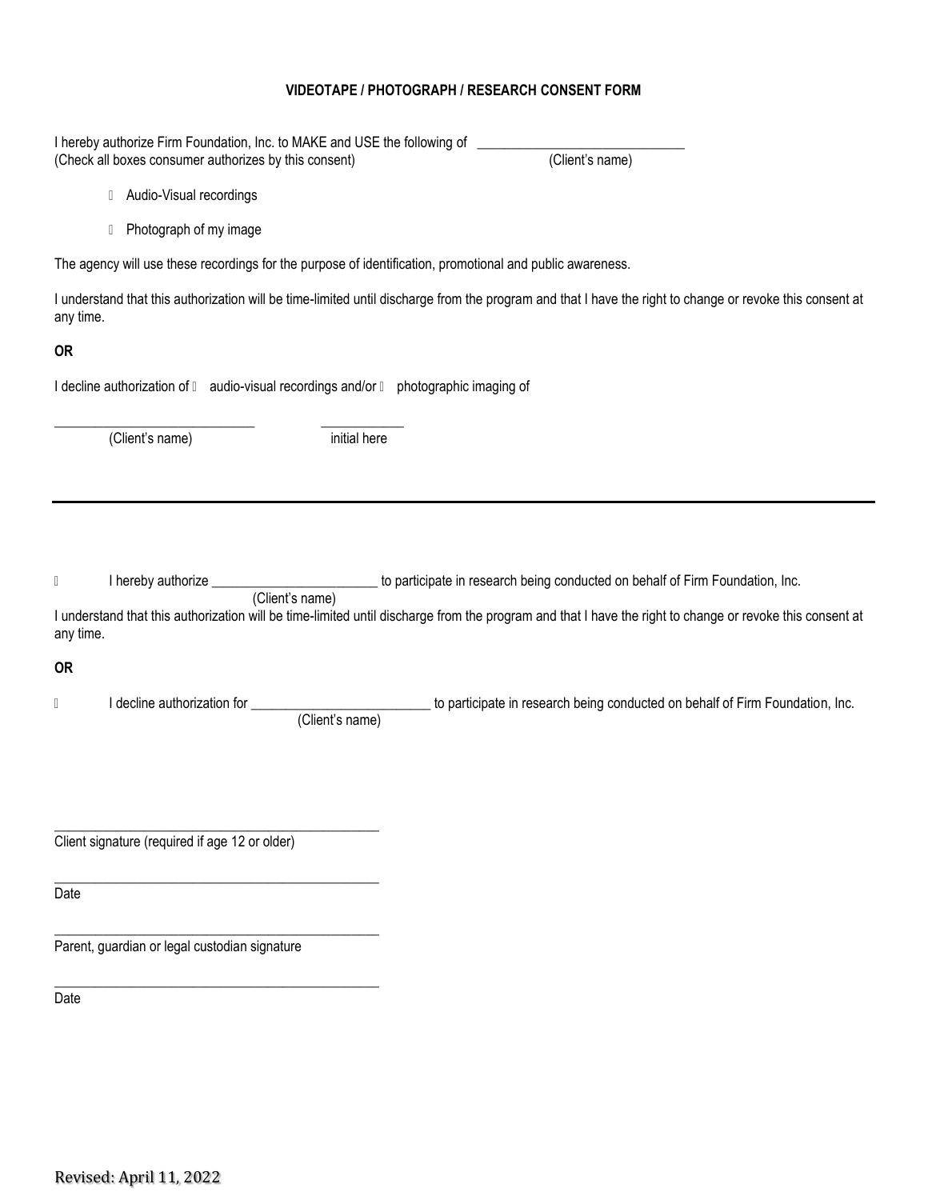#### **VIDEOTAPE / PHOTOGRAPH / RESEARCH CONSENT FORM**

I hereby authorize Firm Foundation, Inc. to MAKE and USE the following of \_\_\_\_\_\_\_\_\_\_\_\_\_\_\_\_\_\_\_\_\_\_\_\_\_\_\_\_\_\_

|                                                                                                                                                                                                                                                                                                                                                                      |                                                           | (Check all boxes consumer authorizes by this consent)                                 | (Client's name)                                                                                                                                          |
|----------------------------------------------------------------------------------------------------------------------------------------------------------------------------------------------------------------------------------------------------------------------------------------------------------------------------------------------------------------------|-----------------------------------------------------------|---------------------------------------------------------------------------------------|----------------------------------------------------------------------------------------------------------------------------------------------------------|
|                                                                                                                                                                                                                                                                                                                                                                      | Audio-Visual recordings<br>$\begin{array}{c} \end{array}$ |                                                                                       |                                                                                                                                                          |
|                                                                                                                                                                                                                                                                                                                                                                      | Photograph of my image<br>$\begin{array}{c} \end{array}$  |                                                                                       |                                                                                                                                                          |
|                                                                                                                                                                                                                                                                                                                                                                      |                                                           |                                                                                       | The agency will use these recordings for the purpose of identification, promotional and public awareness.                                                |
| any time.                                                                                                                                                                                                                                                                                                                                                            |                                                           |                                                                                       | I understand that this authorization will be time-limited until discharge from the program and that I have the right to change or revoke this consent at |
| <b>OR</b>                                                                                                                                                                                                                                                                                                                                                            |                                                           |                                                                                       |                                                                                                                                                          |
|                                                                                                                                                                                                                                                                                                                                                                      |                                                           | I decline authorization of l audio-visual recordings and/or l photographic imaging of |                                                                                                                                                          |
|                                                                                                                                                                                                                                                                                                                                                                      | (Client's name)                                           | initial here                                                                          |                                                                                                                                                          |
|                                                                                                                                                                                                                                                                                                                                                                      |                                                           |                                                                                       |                                                                                                                                                          |
|                                                                                                                                                                                                                                                                                                                                                                      |                                                           |                                                                                       |                                                                                                                                                          |
| $[] \centering \includegraphics[width=0.47\textwidth]{images/TransY_1.png} \caption{The first two different values of $100$ K, $100$ K, $100$ K, $100$ K, $100$ K, $100$ K, $100$ K, $100$ K, $100$ K, $100$ K, $100$ K, $100$ K, $100$ K, $100$ K, $100$ K, $100$ K, $100$ K, $100$ K, $100$ K, $100$ K, $100$ K, $100$ K, $100$ K, $100$ K, $100$ K, $100$ K, $10$ |                                                           | (Client's name)                                                                       | I hereby authorize ______________________________ to participate in research being conducted on behalf of Firm Foundation, Inc.                          |
| any time.                                                                                                                                                                                                                                                                                                                                                            |                                                           |                                                                                       | I understand that this authorization will be time-limited until discharge from the program and that I have the right to change or revoke this consent at |
| <b>OR</b>                                                                                                                                                                                                                                                                                                                                                            |                                                           |                                                                                       |                                                                                                                                                          |
| Ū                                                                                                                                                                                                                                                                                                                                                                    | I decline authorization for _                             | (Client's name)                                                                       | to participate in research being conducted on behalf of Firm Foundation, Inc.                                                                            |
|                                                                                                                                                                                                                                                                                                                                                                      |                                                           |                                                                                       |                                                                                                                                                          |
|                                                                                                                                                                                                                                                                                                                                                                      |                                                           |                                                                                       |                                                                                                                                                          |
|                                                                                                                                                                                                                                                                                                                                                                      | Client signature (required if age 12 or older)            |                                                                                       |                                                                                                                                                          |
| Date                                                                                                                                                                                                                                                                                                                                                                 |                                                           |                                                                                       |                                                                                                                                                          |
|                                                                                                                                                                                                                                                                                                                                                                      | Parent, guardian or legal custodian signature             |                                                                                       |                                                                                                                                                          |
| Date                                                                                                                                                                                                                                                                                                                                                                 |                                                           |                                                                                       |                                                                                                                                                          |
|                                                                                                                                                                                                                                                                                                                                                                      |                                                           |                                                                                       |                                                                                                                                                          |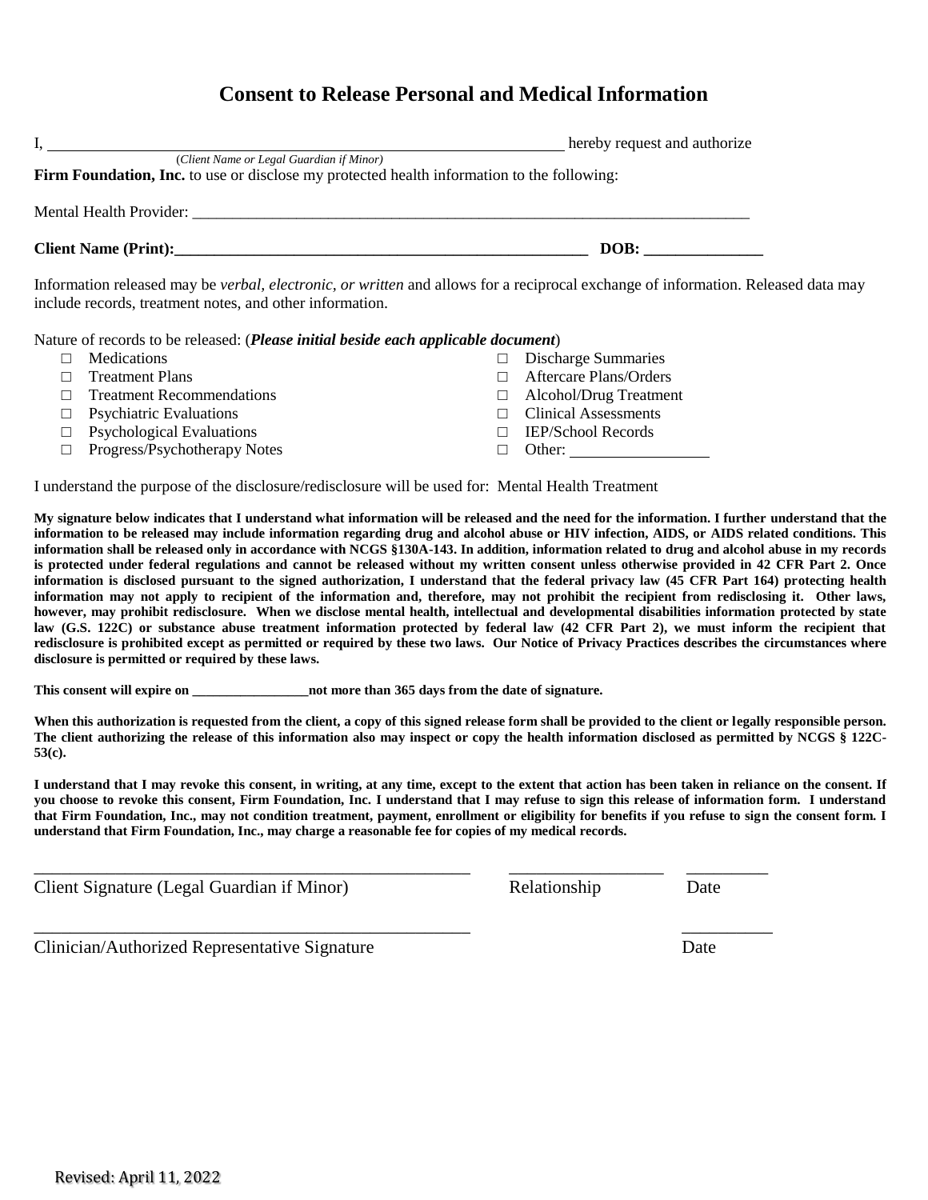|                                                                                                                                                                                                      | hereby request and authorize |
|------------------------------------------------------------------------------------------------------------------------------------------------------------------------------------------------------|------------------------------|
| (Client Name or Legal Guardian if Minor)<br>Firm Foundation, Inc. to use or disclose my protected health information to the following:                                                               |                              |
|                                                                                                                                                                                                      |                              |
|                                                                                                                                                                                                      | DOB:                         |
| Information released may be <i>verbal, electronic, or written</i> and allows for a reciprocal exchange of information. Released data may<br>include records, treatment notes, and other information. |                              |
|                                                                                                                                                                                                      |                              |

Nature of records to be released: (*Please initial beside each applicable document*)

- □ Medications
- □ Treatment Plans
- □ Treatment Recommendations
- $\Box$  Psychiatric Evaluations
- $\Box$  Psychological Evaluations
- □ Progress/Psychotherapy Notes

□ Clinical Assessments

□ IEP/School Records

□ Discharge Summaries □ Aftercare Plans/Orders □ Alcohol/Drug Treatment

□ Other:

I understand the purpose of the disclosure/redisclosure will be used for: Mental Health Treatment

**My signature below indicates that I understand what information will be released and the need for the information. I further understand that the information to be released may include information regarding drug and alcohol abuse or HIV infection, AIDS, or AIDS related conditions. This information shall be released only in accordance with NCGS §130A-143. In addition, information related to drug and alcohol abuse in my records is protected under federal regulations and cannot be released without my written consent unless otherwise provided in 42 CFR Part 2. Once information is disclosed pursuant to the signed authorization, I understand that the federal privacy law (45 CFR Part 164) protecting health information may not apply to recipient of the information and, therefore, may not prohibit the recipient from redisclosing it. Other laws, however, may prohibit redisclosure. When we disclose mental health, intellectual and developmental disabilities information protected by state law (G.S. 122C) or substance abuse treatment information protected by federal law (42 CFR Part 2), we must inform the recipient that redisclosure is prohibited except as permitted or required by these two laws. Our Notice of Privacy Practices describes the circumstances where disclosure is permitted or required by these laws.** 

**This consent will expire on**  $\qquad \qquad$  **not more than 365 days from the date of signature.** 

When this authorization is requested from the client, a copy of this signed release form shall be provided to the client or legally responsible person. **The client authorizing the release of this information also may inspect or copy the health information disclosed as permitted by NCGS § 122C-53(c).** 

**I understand that I may revoke this consent, in writing, at any time, except to the extent that action has been taken in reliance on the consent. If you choose to revoke this consent, Firm Foundation, Inc. I understand that I may refuse to sign this release of information form. I understand that Firm Foundation, Inc., may not condition treatment, payment, enrollment or eligibility for benefits if you refuse to sign the consent form. I understand that Firm Foundation, Inc., may charge a reasonable fee for copies of my medical records.**

\_\_\_\_\_\_\_\_\_\_\_\_\_\_\_\_\_\_\_\_\_\_\_\_\_\_\_\_\_\_\_\_\_\_\_\_\_\_\_\_\_\_\_\_\_\_\_\_ \_\_\_\_\_\_\_\_\_\_\_\_\_\_\_\_\_ \_\_\_\_\_\_\_\_\_

\_\_\_\_\_\_\_\_\_\_\_\_\_\_\_\_\_\_\_\_\_\_\_\_\_\_\_\_\_\_\_\_\_\_\_\_\_\_\_\_\_\_\_\_\_\_\_\_ \_\_\_\_\_\_\_\_\_\_

Client Signature (Legal Guardian if Minor) Relationship Date

Clinician/Authorized Representative Signature Date

Revised: April 11, 2022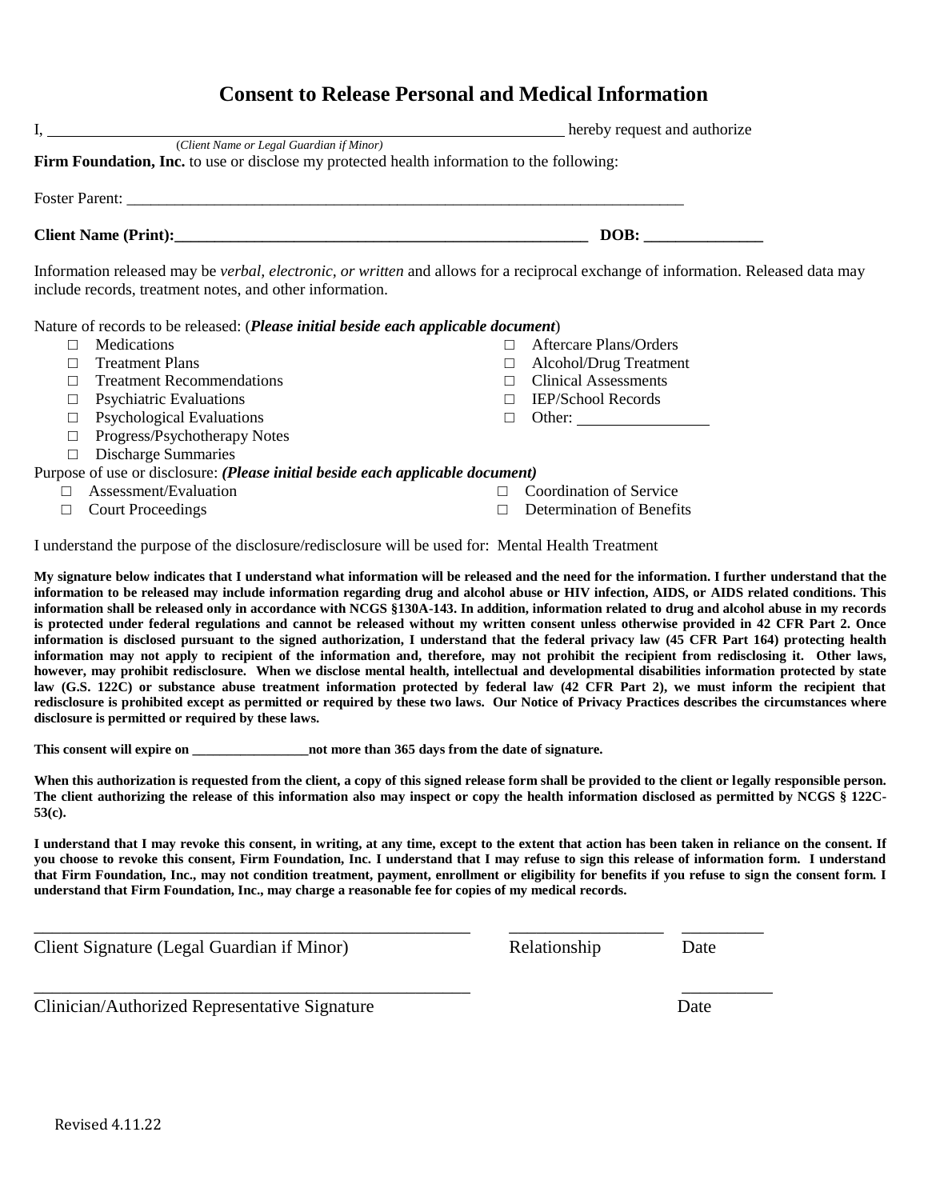|        |                                                                                                                                        |        | hereby request and authorize                                                                                                             |
|--------|----------------------------------------------------------------------------------------------------------------------------------------|--------|------------------------------------------------------------------------------------------------------------------------------------------|
|        | (Client Name or Legal Guardian if Minor)<br>Firm Foundation, Inc. to use or disclose my protected health information to the following: |        |                                                                                                                                          |
|        |                                                                                                                                        |        |                                                                                                                                          |
|        |                                                                                                                                        |        | DOB:                                                                                                                                     |
|        | include records, treatment notes, and other information.                                                                               |        | Information released may be <i>verbal, electronic, or written</i> and allows for a reciprocal exchange of information. Released data may |
|        | Nature of records to be released: ( <i>Please initial beside each applicable document</i> )                                            |        |                                                                                                                                          |
| П      | <b>Medications</b>                                                                                                                     |        | <b>Aftercare Plans/Orders</b>                                                                                                            |
| П      | <b>Treatment Plans</b>                                                                                                                 |        | Alcohol/Drug Treatment                                                                                                                   |
| П      | <b>Treatment Recommendations</b>                                                                                                       |        | <b>Clinical Assessments</b>                                                                                                              |
| $\Box$ | <b>Psychiatric Evaluations</b>                                                                                                         |        | <b>IEP/School Records</b>                                                                                                                |
|        | $\Box$ Psychological Evaluations                                                                                                       | $\Box$ | Other:                                                                                                                                   |
| $\Box$ | Progress/Psychotherapy Notes                                                                                                           |        |                                                                                                                                          |
| $\Box$ | <b>Discharge Summaries</b>                                                                                                             |        |                                                                                                                                          |
|        | Purpose of use or disclosure: (Please initial beside each applicable document)                                                         |        |                                                                                                                                          |
|        | Assessment/Evaluation                                                                                                                  |        | Coordination of Service                                                                                                                  |

□ Court Proceedings

□ Determination of Benefits

I understand the purpose of the disclosure/redisclosure will be used for: Mental Health Treatment

**My signature below indicates that I understand what information will be released and the need for the information. I further understand that the information to be released may include information regarding drug and alcohol abuse or HIV infection, AIDS, or AIDS related conditions. This information shall be released only in accordance with NCGS §130A-143. In addition, information related to drug and alcohol abuse in my records is protected under federal regulations and cannot be released without my written consent unless otherwise provided in 42 CFR Part 2. Once information is disclosed pursuant to the signed authorization, I understand that the federal privacy law (45 CFR Part 164) protecting health information may not apply to recipient of the information and, therefore, may not prohibit the recipient from redisclosing it. Other laws, however, may prohibit redisclosure. When we disclose mental health, intellectual and developmental disabilities information protected by state law (G.S. 122C) or substance abuse treatment information protected by federal law (42 CFR Part 2), we must inform the recipient that redisclosure is prohibited except as permitted or required by these two laws. Our Notice of Privacy Practices describes the circumstances where disclosure is permitted or required by these laws.** 

**This consent will expire on \_\_\_\_\_\_\_\_\_\_\_\_\_\_\_\_\_not more than 365 days from the date of signature.** 

When this authorization is requested from the client, a copy of this signed release form shall be provided to the client or legally responsible person. **The client authorizing the release of this information also may inspect or copy the health information disclosed as permitted by NCGS § 122C-53(c).** 

**I understand that I may revoke this consent, in writing, at any time, except to the extent that action has been taken in reliance on the consent. If you choose to revoke this consent, Firm Foundation, Inc. I understand that I may refuse to sign this release of information form. I understand that Firm Foundation, Inc., may not condition treatment, payment, enrollment or eligibility for benefits if you refuse to sign the consent form. I understand that Firm Foundation, Inc., may charge a reasonable fee for copies of my medical records.**

\_\_\_\_\_\_\_\_\_\_\_\_\_\_\_\_\_\_\_\_\_\_\_\_\_\_\_\_\_\_\_\_\_\_\_\_\_\_\_\_\_\_\_\_\_\_\_\_ \_\_\_\_\_\_\_\_\_\_\_\_\_\_\_\_\_ \_\_\_\_\_\_\_\_\_

\_\_\_\_\_\_\_\_\_\_\_\_\_\_\_\_\_\_\_\_\_\_\_\_\_\_\_\_\_\_\_\_\_\_\_\_\_\_\_\_\_\_\_\_\_\_\_\_ \_\_\_\_\_\_\_\_\_\_

Client Signature (Legal Guardian if Minor) Relationship Date

Clinician/Authorized Representative Signature Date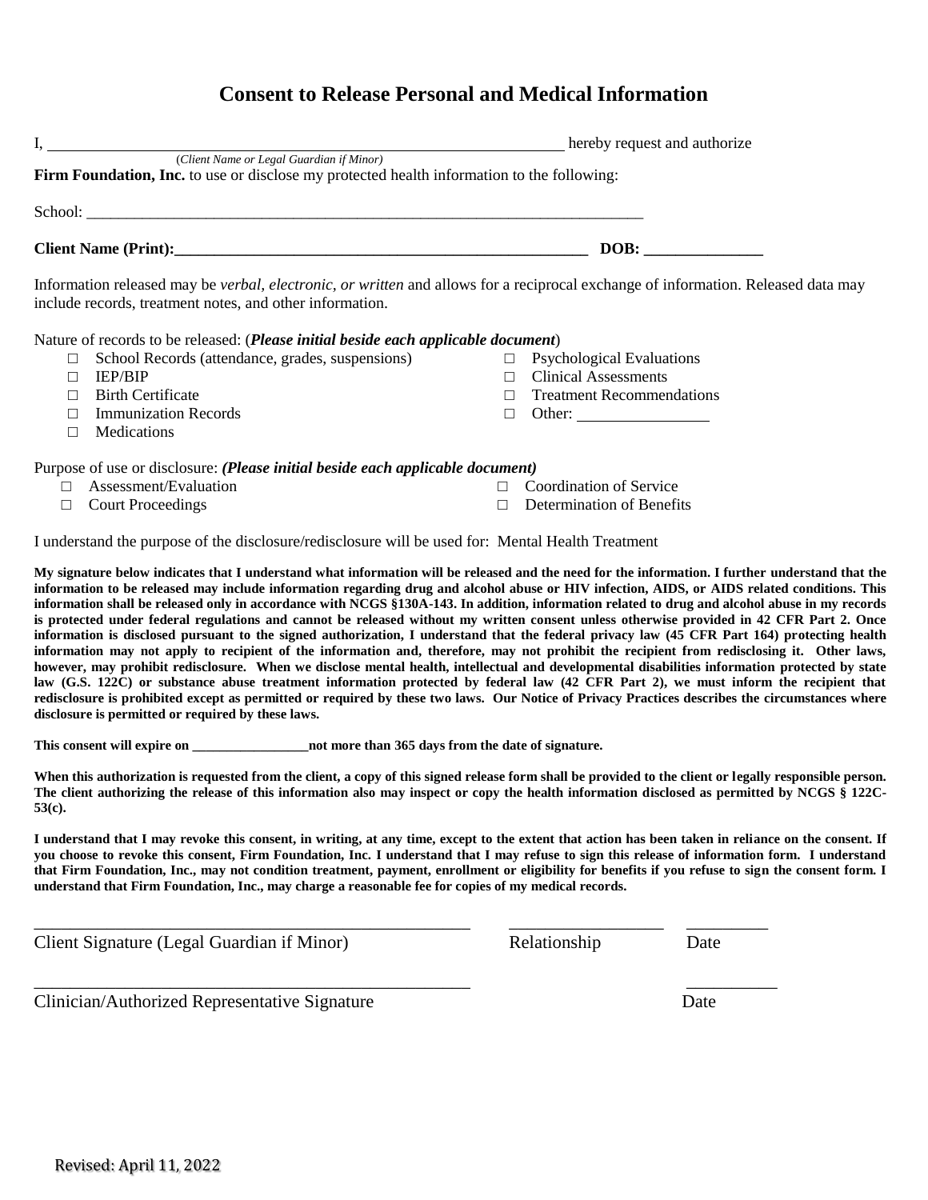| Ι,     |                                                                                                                                                                                                      |   | hereby request and authorize     |
|--------|------------------------------------------------------------------------------------------------------------------------------------------------------------------------------------------------------|---|----------------------------------|
|        | (Client Name or Legal Guardian if Minor)                                                                                                                                                             |   |                                  |
|        | Firm Foundation, Inc. to use or disclose my protected health information to the following:                                                                                                           |   |                                  |
|        |                                                                                                                                                                                                      |   |                                  |
|        |                                                                                                                                                                                                      |   | DOB:                             |
|        | Information released may be <i>verbal, electronic, or written</i> and allows for a reciprocal exchange of information. Released data may<br>include records, treatment notes, and other information. |   |                                  |
|        | Nature of records to be released: ( <i>Please initial beside each applicable document</i> )                                                                                                          |   |                                  |
| $\Box$ | School Records (attendance, grades, suspensions)                                                                                                                                                     |   | $\Box$ Psychological Evaluations |
|        | <b>IEP/BIP</b>                                                                                                                                                                                       | П | <b>Clinical Assessments</b>      |
|        | <b>Birth Certificate</b>                                                                                                                                                                             |   | <b>Treatment Recommendations</b> |
|        | <b>Immunization Records</b>                                                                                                                                                                          | Г | Other:                           |
|        | <b>Medications</b>                                                                                                                                                                                   |   |                                  |
|        |                                                                                                                                                                                                      |   |                                  |

Purpose of use or disclosure: *(Please initial beside each applicable document)*

- □ Assessment/Evaluation
- □ Court Proceedings
- □ Coordination of Service
- $\Box$  Determination of Benefits

I understand the purpose of the disclosure/redisclosure will be used for: Mental Health Treatment

**My signature below indicates that I understand what information will be released and the need for the information. I further understand that the information to be released may include information regarding drug and alcohol abuse or HIV infection, AIDS, or AIDS related conditions. This information shall be released only in accordance with NCGS §130A-143. In addition, information related to drug and alcohol abuse in my records is protected under federal regulations and cannot be released without my written consent unless otherwise provided in 42 CFR Part 2. Once information is disclosed pursuant to the signed authorization, I understand that the federal privacy law (45 CFR Part 164) protecting health information may not apply to recipient of the information and, therefore, may not prohibit the recipient from redisclosing it. Other laws, however, may prohibit redisclosure. When we disclose mental health, intellectual and developmental disabilities information protected by state law (G.S. 122C) or substance abuse treatment information protected by federal law (42 CFR Part 2), we must inform the recipient that redisclosure is prohibited except as permitted or required by these two laws. Our Notice of Privacy Practices describes the circumstances where disclosure is permitted or required by these laws.** 

**This consent will expire on \_\_\_\_\_\_\_\_\_\_\_\_\_\_\_\_\_not more than 365 days from the date of signature.** 

When this authorization is requested from the client, a copy of this signed release form shall be provided to the client or legally responsible person. **The client authorizing the release of this information also may inspect or copy the health information disclosed as permitted by NCGS § 122C-53(c).** 

**I understand that I may revoke this consent, in writing, at any time, except to the extent that action has been taken in reliance on the consent. If you choose to revoke this consent, Firm Foundation, Inc. I understand that I may refuse to sign this release of information form. I understand that Firm Foundation, Inc., may not condition treatment, payment, enrollment or eligibility for benefits if you refuse to sign the consent form. I understand that Firm Foundation, Inc., may charge a reasonable fee for copies of my medical records.**

\_\_\_\_\_\_\_\_\_\_\_\_\_\_\_\_\_\_\_\_\_\_\_\_\_\_\_\_\_\_\_\_\_\_\_\_\_\_\_\_\_\_\_\_\_\_\_\_ \_\_\_\_\_\_\_\_\_\_\_\_\_\_\_\_\_ \_\_\_\_\_\_\_\_\_

Client Signature (Legal Guardian if Minor) Relationship Date

Clinician/Authorized Representative Signature Date

\_\_\_\_\_\_\_\_\_\_\_\_\_\_\_\_\_\_\_\_\_\_\_\_\_\_\_\_\_\_\_\_\_\_\_\_\_\_\_\_\_\_\_\_\_\_\_\_ \_\_\_\_\_\_\_\_\_\_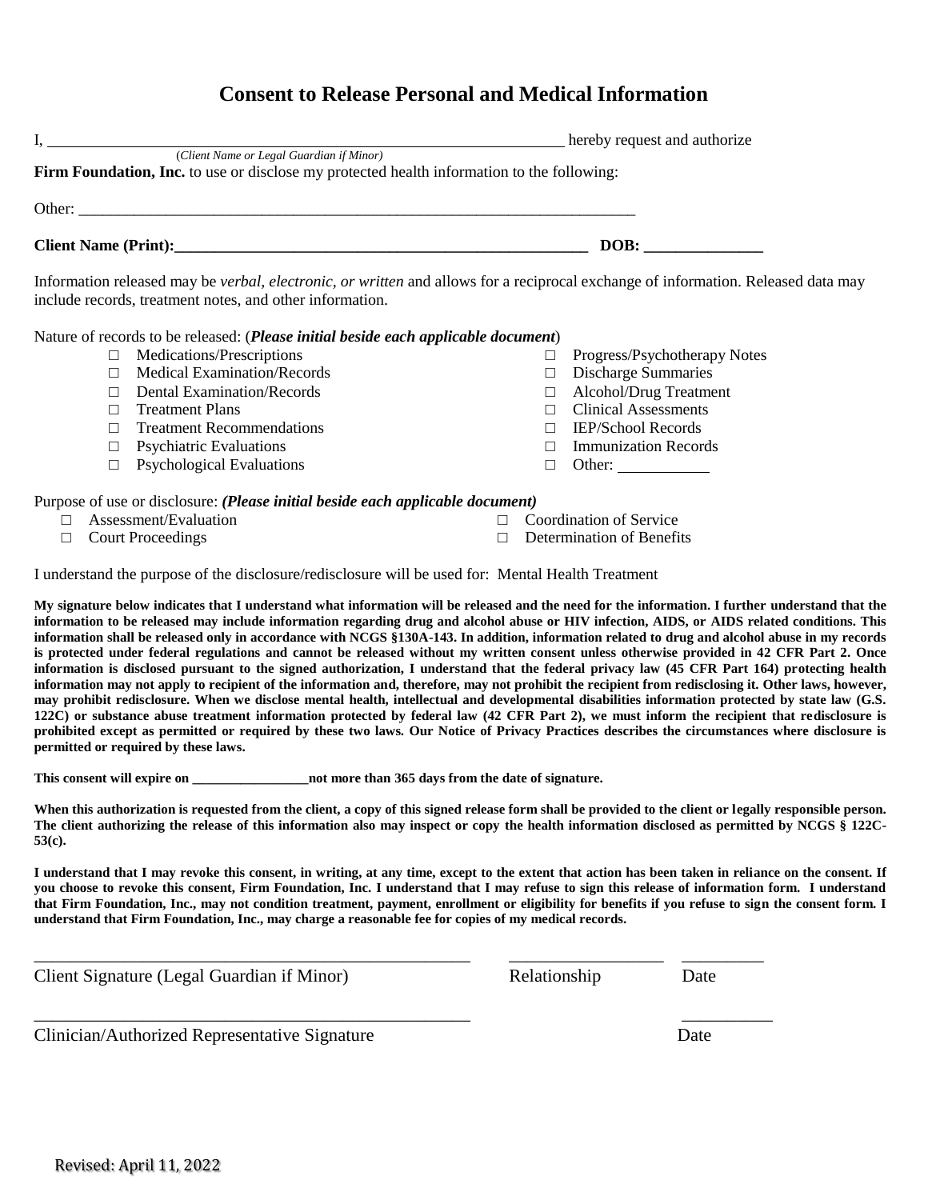|                                                                                                                                                                                                                                     | hereby request and authorize                                                                                                             |
|-------------------------------------------------------------------------------------------------------------------------------------------------------------------------------------------------------------------------------------|------------------------------------------------------------------------------------------------------------------------------------------|
| (Client Name or Legal Guardian if Minor)                                                                                                                                                                                            |                                                                                                                                          |
| <b>Firm Foundation, Inc.</b> to use or disclose my protected health information to the following:                                                                                                                                   |                                                                                                                                          |
|                                                                                                                                                                                                                                     |                                                                                                                                          |
| <b>Client Name (Print):</b> The same of the same of the same of the same of the same of the same of the same of the same of the same of the same of the same of the same of the same of the same of the same of the same of the sam | DOB:                                                                                                                                     |
|                                                                                                                                                                                                                                     | Information released may be <i>verbal, electronic, or written</i> and allows for a reciprocal exchange of information. Released data may |
| include records, treatment notes, and other information.                                                                                                                                                                            |                                                                                                                                          |

Nature of records to be released: (*Please initial beside each applicable document*)

- □ Medications/Prescriptions
- □ Medical Examination/Records
- □ Dental Examination/Records
- □ Treatment Plans
- □ Treatment Recommendations
- $\Box$  Psychiatric Evaluations
- □ Psychological Evaluations

Purpose of use or disclosure: *(Please initial beside each applicable document)*

- □ Assessment/Evaluation
- □ Court Proceedings
- 
- □ Determination of Benefits

I understand the purpose of the disclosure/redisclosure will be used for: Mental Health Treatment

**My signature below indicates that I understand what information will be released and the need for the information. I further understand that the information to be released may include information regarding drug and alcohol abuse or HIV infection, AIDS, or AIDS related conditions. This information shall be released only in accordance with NCGS §130A-143. In addition, information related to drug and alcohol abuse in my records is protected under federal regulations and cannot be released without my written consent unless otherwise provided in 42 CFR Part 2. Once information is disclosed pursuant to the signed authorization, I understand that the federal privacy law (45 CFR Part 164) protecting health information may not apply to recipient of the information and, therefore, may not prohibit the recipient from redisclosing it. Other laws, however, may prohibit redisclosure. When we disclose mental health, intellectual and developmental disabilities information protected by state law (G.S. 122C) or substance abuse treatment information protected by federal law (42 CFR Part 2), we must inform the recipient that redisclosure is prohibited except as permitted or required by these two laws. Our Notice of Privacy Practices describes the circumstances where disclosure is permitted or required by these laws.** 

**This consent will expire on \_\_\_\_\_\_\_\_\_\_\_\_\_\_\_\_\_not more than 365 days from the date of signature.** 

When this authorization is requested from the client, a copy of this signed release form shall be provided to the client or legally responsible person. **The client authorizing the release of this information also may inspect or copy the health information disclosed as permitted by NCGS § 122C-53(c).** 

**I understand that I may revoke this consent, in writing, at any time, except to the extent that action has been taken in reliance on the consent. If you choose to revoke this consent, Firm Foundation, Inc. I understand that I may refuse to sign this release of information form. I understand that Firm Foundation, Inc., may not condition treatment, payment, enrollment or eligibility for benefits if you refuse to sign the consent form. I understand that Firm Foundation, Inc., may charge a reasonable fee for copies of my medical records.**

\_\_\_\_\_\_\_\_\_\_\_\_\_\_\_\_\_\_\_\_\_\_\_\_\_\_\_\_\_\_\_\_\_\_\_\_\_\_\_\_\_\_\_\_\_\_\_\_ \_\_\_\_\_\_\_\_\_\_\_\_\_\_\_\_\_ \_\_\_\_\_\_\_\_\_

\_\_\_\_\_\_\_\_\_\_\_\_\_\_\_\_\_\_\_\_\_\_\_\_\_\_\_\_\_\_\_\_\_\_\_\_\_\_\_\_\_\_\_\_\_\_\_\_ \_\_\_\_\_\_\_\_\_\_

Client Signature (Legal Guardian if Minor) Relationship Date

Clinician/Authorized Representative Signature Date

Revised: April 11, 2022

□ Clinical Assessments □ IEP/School Records

□ Immunization Records

□ Discharge Summaries □ Alcohol/Drug Treatment

□ Progress/Psychotherapy Notes

- □ Other:
- □ Coordination of Service
- 
- 
-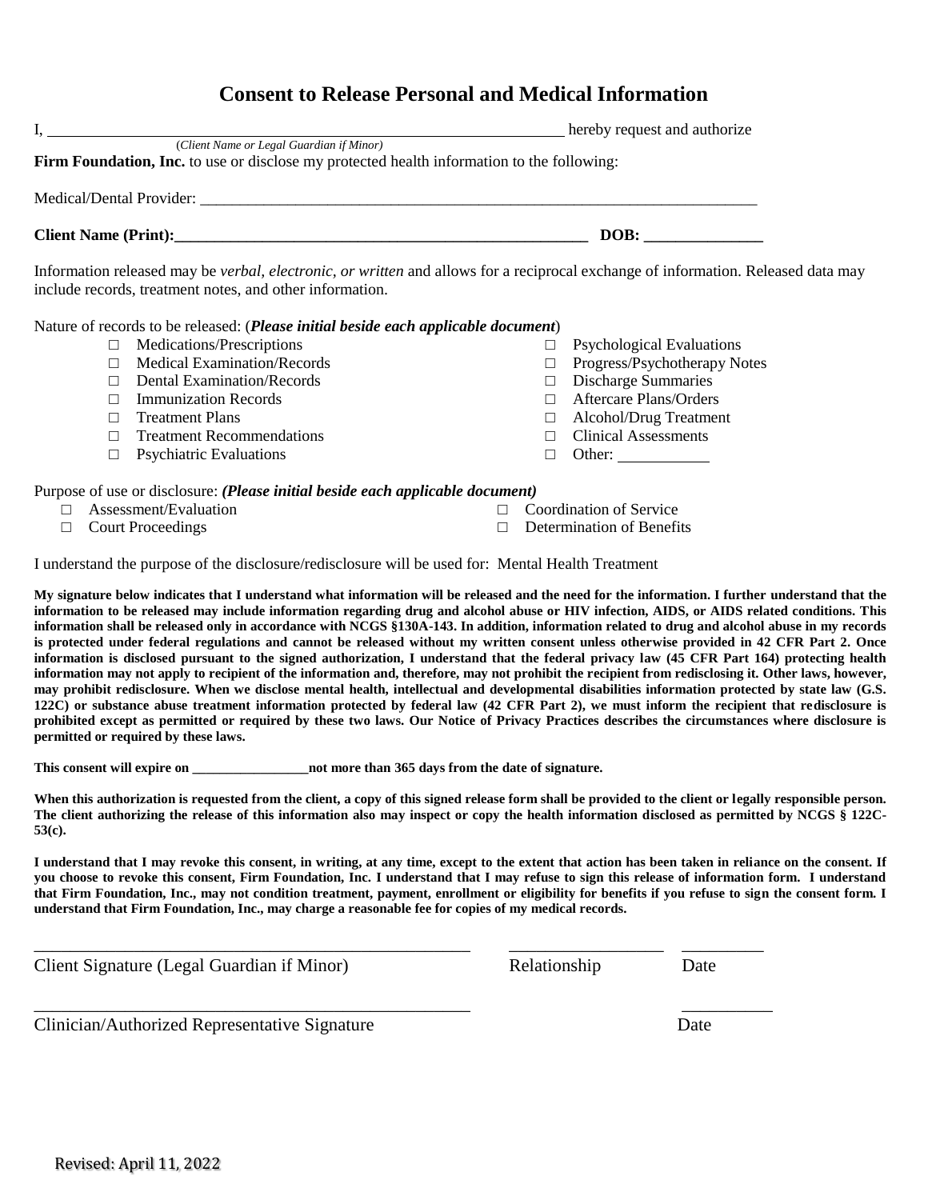| (Client Name or Legal Guardian if Minor)<br>Firm Foundation, Inc. to use or disclose my protected health information to the following:                                                               |                                        |  |
|------------------------------------------------------------------------------------------------------------------------------------------------------------------------------------------------------|----------------------------------------|--|
| Medical/Dental Provider:                                                                                                                                                                             |                                        |  |
| Client Name (Print):                                                                                                                                                                                 | DOB:                                   |  |
|                                                                                                                                                                                                      |                                        |  |
| Information released may be <i>verbal, electronic, or written</i> and allows for a reciprocal exchange of information. Released data may<br>include records, treatment notes, and other information. |                                        |  |
| Nature of records to be released: ( <i>Please initial beside each applicable document</i> )                                                                                                          |                                        |  |
| Medications/Prescriptions<br>$\Box$                                                                                                                                                                  | <b>Psychological Evaluations</b><br>⊔  |  |
| <b>Medical Examination/Records</b>                                                                                                                                                                   | Progress/Psychotherapy Notes<br>$\Box$ |  |

I, hereby request and authorize

- 
- □ Aftercare Plans/Orders
- □ Alcohol/Drug Treatment
- □ Clinical Assessments
- □ Other:

Purpose of use or disclosure: *(Please initial beside each applicable document)*

□ Assessment/Evaluation

□ Immunization Records □ Treatment Plans

□ Treatment Recommendations  $\Box$  Psychiatric Evaluations

□ Court Proceedings

- □ Coordination of Service
- □ Determination of Benefits

I understand the purpose of the disclosure/redisclosure will be used for: Mental Health Treatment

**My signature below indicates that I understand what information will be released and the need for the information. I further understand that the information to be released may include information regarding drug and alcohol abuse or HIV infection, AIDS, or AIDS related conditions. This information shall be released only in accordance with NCGS §130A-143. In addition, information related to drug and alcohol abuse in my records is protected under federal regulations and cannot be released without my written consent unless otherwise provided in 42 CFR Part 2. Once information is disclosed pursuant to the signed authorization, I understand that the federal privacy law (45 CFR Part 164) protecting health information may not apply to recipient of the information and, therefore, may not prohibit the recipient from redisclosing it. Other laws, however, may prohibit redisclosure. When we disclose mental health, intellectual and developmental disabilities information protected by state law (G.S. 122C) or substance abuse treatment information protected by federal law (42 CFR Part 2), we must inform the recipient that redisclosure is prohibited except as permitted or required by these two laws. Our Notice of Privacy Practices describes the circumstances where disclosure is permitted or required by these laws.** 

**This consent will expire on \_\_\_\_\_\_\_\_\_\_\_\_\_\_\_\_\_not more than 365 days from the date of signature.** 

When this authorization is requested from the client, a copy of this signed release form shall be provided to the client or legally responsible person. **The client authorizing the release of this information also may inspect or copy the health information disclosed as permitted by NCGS § 122C-53(c).** 

**I understand that I may revoke this consent, in writing, at any time, except to the extent that action has been taken in reliance on the consent. If you choose to revoke this consent, Firm Foundation, Inc. I understand that I may refuse to sign this release of information form. I understand that Firm Foundation, Inc., may not condition treatment, payment, enrollment or eligibility for benefits if you refuse to sign the consent form. I understand that Firm Foundation, Inc., may charge a reasonable fee for copies of my medical records.**

\_\_\_\_\_\_\_\_\_\_\_\_\_\_\_\_\_\_\_\_\_\_\_\_\_\_\_\_\_\_\_\_\_\_\_\_\_\_\_\_\_\_\_\_\_\_\_\_ \_\_\_\_\_\_\_\_\_\_\_\_\_\_\_\_\_ \_\_\_\_\_\_\_\_\_

\_\_\_\_\_\_\_\_\_\_\_\_\_\_\_\_\_\_\_\_\_\_\_\_\_\_\_\_\_\_\_\_\_\_\_\_\_\_\_\_\_\_\_\_\_\_\_\_ \_\_\_\_\_\_\_\_\_\_

Client Signature (Legal Guardian if Minor) Relationship Date

Clinician/Authorized Representative Signature Date